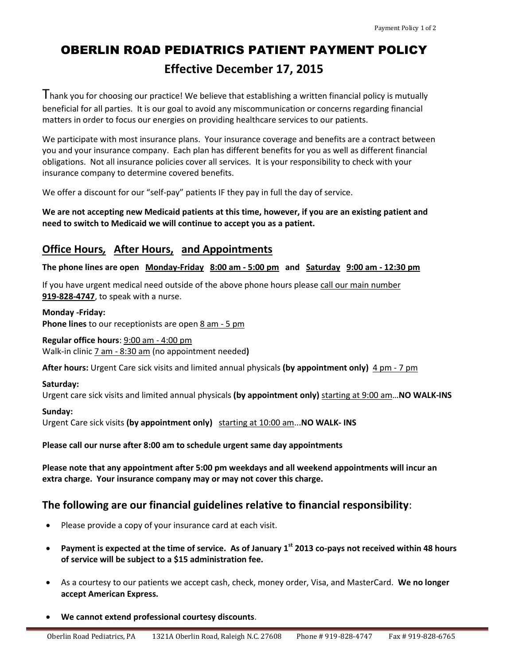# OBERLIN ROAD PEDIATRICS PATIENT PAYMENT POLICY **Effective December 17, 2015**

I hank you for choosing our practice! We believe that establishing a written financial policy is mutually beneficial for all parties. It is our goal to avoid any miscommunication or concerns regarding financial matters in order to focus our energies on providing healthcare services to our patients.

We participate with most insurance plans. Your insurance coverage and benefits are a contract between you and your insurance company. Each plan has different benefits for you as well as different financial obligations. Not all insurance policies cover all services. It is your responsibility to check with your insurance company to determine covered benefits.

We offer a discount for our "self-pay" patients IF they pay in full the day of service.

**We are not accepting new Medicaid patients at this time, however, if you are an existing patient and need to switch to Medicaid we will continue to accept you as a patient.**

## **Office Hours***,* **After Hours, and Appointments**

**The phone lines are open Monday-Friday 8:00 am - 5:00 pm and Saturday 9:00 am - 12:30 pm**

If you have urgent medical need outside of the above phone hours please call our main number **919-828-4747**, to speak with a nurse.

**Monday -Friday: Phone lines** to our receptionists are open 8 am - 5 pm

**Regular office hours**: 9:00 am - 4:00 pm Walk-in clinic 7 am - 8:30 am (no appointment needed**)**

**After hours:** Urgent Care sick visits and limited annual physicals **(by appointment only)** 4 pm - 7 pm

#### **Saturday:**

Urgent care sick visits and limited annual physicals **(by appointment only)** starting at 9:00 am…**NO WALK-INS**

#### **Sunday:**

Urgent Care sick visits **(by appointment only)** starting at 10:00 am...**NO WALK- INS**

**Please call our nurse after 8:00 am to schedule urgent same day appointments**

**Please note that any appointment after 5:00 pm weekdays and all weekend appointments will incur an extra charge. Your insurance company may or may not cover this charge.**

### **The following are our financial guidelines relative to financial responsibility**:

- Please provide a copy of your insurance card at each visit.
- **Payment is expected at the time of service. As of January 1st 2013 co-pays not received within 48 hours of service will be subject to a \$15 administration fee.**
- As a courtesy to our patients we accept cash, check, money order, Visa, and MasterCard. **We no longer accept American Express.**
- **We cannot extend professional courtesy discounts**.